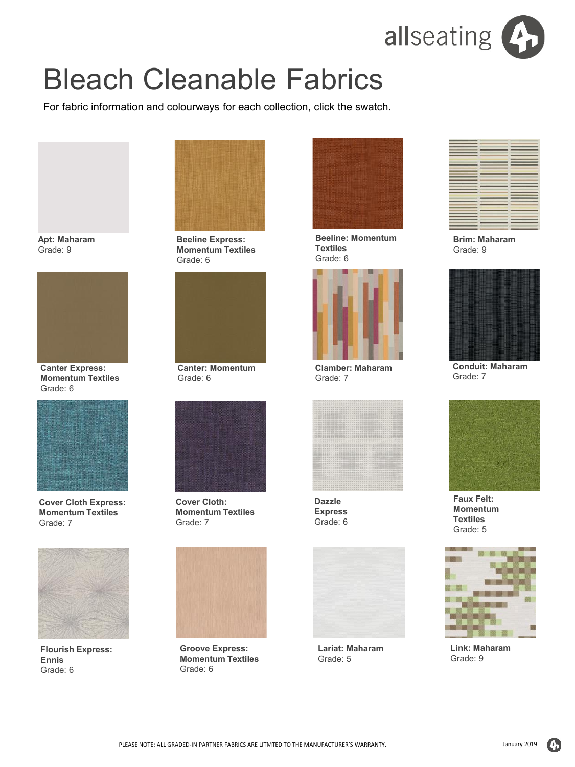

## Bleach Cleanable Fabrics

For fabric information and colourways for each collection, click the swatch.

**Apt: Maharam** Grade:  $\square$ 

**Beeline Express: Momentum Textiles** Grade:  $\Box$ 

**Beeline: Momentum Textiles** Grade:  $\square$ 

**Brim: Maharam** Grade:  $\Box$ 

**Canter Express: Momentum Textiles** Grade:  $\square$ 



**Cover Cloth Express: Momentum Textiles** Grade:  $\square$ 

**Canter: Momentum** Grade:  $\square$ 



**Cover Cloth: Momentum Textiles** Grade:  $\square$ 

**Clamber: Maharam** Grade: 7



**Dazzle Express** Grade:  $\square$  **Conduit: Maharam** Grade:  $\Box$ 

**Faux Felt: Momentum Textiles** Grade: 5

**Flourish Express: Ennis** Grade: 6

GrDLW<sup>[]</sup> Grade: 6

**Groove Express: Momentum Textiles** Grade: 6

Grade: 6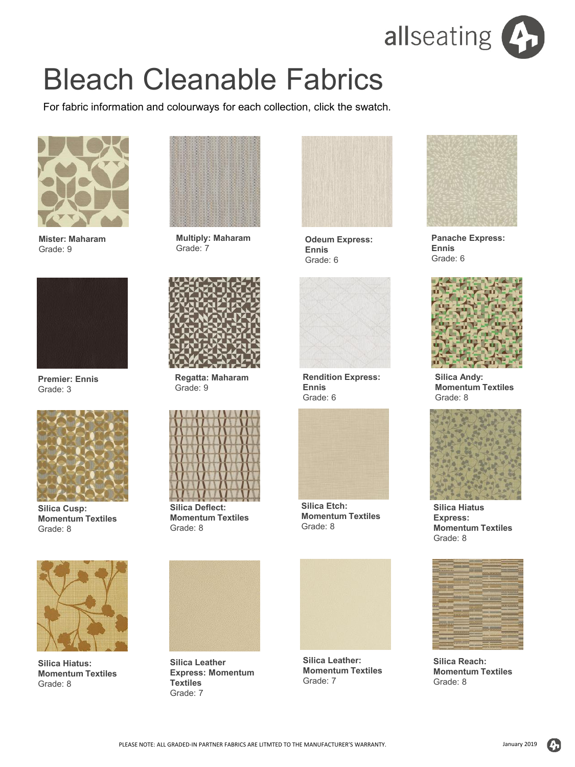

## Bleach Cleanable Fabrics

For fabric information and colourways for each collection, click the swatch.



**Lariat: Maharam** Grade: 5



**Odeum Express: Ennis** Grade: 6



**Rendition Express: Ennis** Grade: 6



**Silica Etch: Momentum Textiles** Grade: 8



**Link: Maharam** Grade: 9



**Panache Express: Ennis** Grade: 6



**Silica Andy: Momentum Textiles** Grade: 8



**Silica Hiatus Express: Momentum Textiles** Grade: 8



**Mister: Maharam** Grade: 9



**Multiply: Maharam** Grade: 7



**Regatta: Maharam** Grade: 9



**Silica Deflect: Momentum Textiles** Grade: 8



**Silica Leather Express: Momentum Textiles** Grade: 7



**Premier: Ennis** Grade: 3



**Silica Cusp: Momentum Textiles** Grade: 8



**Silica Hiatus: Momentum Textiles** Grade: 8